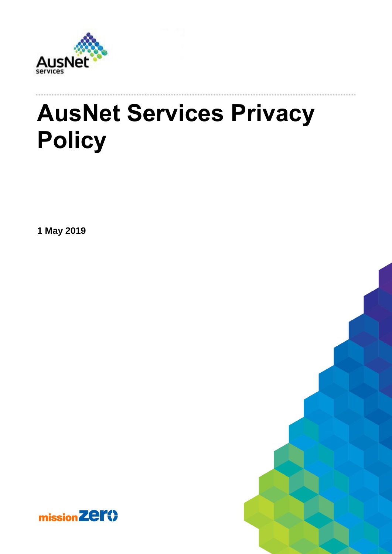

# **AusNet Services Privacy Policy**

**1 May 2019**

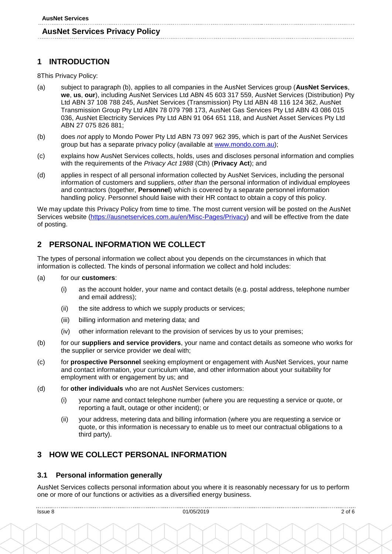# **1 INTRODUCTION**

8This Privacy Policy:

- (a) subject to paragraph (b), applies to all companies in the AusNet Services group (**AusNet Services**, **we**, **us**, **our**), including AusNet Services Ltd ABN 45 603 317 559, AusNet Services (Distribution) Pty Ltd ABN 37 108 788 245, AusNet Services (Transmission) Pty Ltd ABN 48 116 124 362, AusNet Transmission Group Pty Ltd ABN 78 079 798 173, AusNet Gas Services Pty Ltd ABN 43 086 015 036, AusNet Electricity Services Pty Ltd ABN 91 064 651 118, and AusNet Asset Services Pty Ltd ABN 27 075 826 881;
- (b) does *not* apply to Mondo Power Pty Ltd ABN 73 097 962 395, which is part of the AusNet Services group but has a separate privacy policy (available at [www.mondo.com.au\)](http://www.mondo.com.au/);
- (c) explains how AusNet Services collects, holds, uses and discloses personal information and complies with the requirements of the *Privacy Act 1988* (Cth) (**Privacy Act**); and
- (d) applies in respect of all personal information collected by AusNet Services, including the personal information of customers and suppliers, *other than* the personal information of individual employees and contractors (together, **Personnel**) which is covered by a separate personnel information handling policy. Personnel should liaise with their HR contact to obtain a copy of this policy.

We may update this Privacy Policy from time to time. The most current version will be posted on the AusNet Services website [\(https://ausnetservices.com.au/en/Misc-Pages/Privacy\)](https://ausnetservices.com.au/en/Misc-Pages/Privacy) and will be effective from the date of posting.

# **2 PERSONAL INFORMATION WE COLLECT**

The types of personal information we collect about you depends on the circumstances in which that information is collected. The kinds of personal information we collect and hold includes:

- (a) for our **customers**:
	- (i) as the account holder, your name and contact details (e.g. postal address, telephone number and email address);
	- (ii) the site address to which we supply products or services;
	- (iii) billing information and metering data; and
	- (iv) other information relevant to the provision of services by us to your premises;
- (b) for our **suppliers and service providers**, your name and contact details as someone who works for the supplier or service provider we deal with;
- (c) for **prospective Personnel** seeking employment or engagement with AusNet Services, your name and contact information, your curriculum vitae, and other information about your suitability for employment with or engagement by us; and
- (d) for **other individuals** who are not AusNet Services customers:
	- (i) your name and contact telephone number (where you are requesting a service or quote, or reporting a fault, outage or other incident); or
	- (ii) your address, metering data and billing information (where you are requesting a service or quote, or this information is necessary to enable us to meet our contractual obligations to a third party).

## **3 HOW WE COLLECT PERSONAL INFORMATION**

#### **3.1 Personal information generally**

AusNet Services collects personal information about you where it is reasonably necessary for us to perform one or more of our functions or activities as a diversified energy business.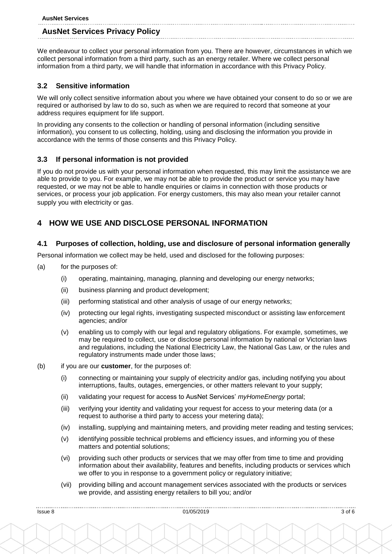| <b>AusNet Services</b>                |
|---------------------------------------|
|                                       |
| <b>AusNet Services Privacy Policy</b> |

We endeavour to collect your personal information from you. There are however, circumstances in which we collect personal information from a third party, such as an energy retailer. Where we collect personal information from a third party, we will handle that information in accordance with this Privacy Policy.

## **3.2 Sensitive information**

We will only collect sensitive information about you where we have obtained your consent to do so or we are required or authorised by law to do so, such as when we are required to record that someone at your address requires equipment for life support.

In providing any consents to the collection or handling of personal information (including sensitive information), you consent to us collecting, holding, using and disclosing the information you provide in accordance with the terms of those consents and this Privacy Policy.

## **3.3 If personal information is not provided**

If you do not provide us with your personal information when requested, this may limit the assistance we are able to provide to you. For example, we may not be able to provide the product or service you may have requested, or we may not be able to handle enquiries or claims in connection with those products or services, or process your job application. For energy customers, this may also mean your retailer cannot supply you with electricity or gas.

## **4 HOW WE USE AND DISCLOSE PERSONAL INFORMATION**

## **4.1 Purposes of collection, holding, use and disclosure of personal information generally**

Personal information we collect may be held, used and disclosed for the following purposes:

- (a) for the purposes of:
	- (i) operating, maintaining, managing, planning and developing our energy networks;
	- (ii) business planning and product development;
	- (iii) performing statistical and other analysis of usage of our energy networks;
	- (iv) protecting our legal rights, investigating suspected misconduct or assisting law enforcement agencies; and/or
	- (v) enabling us to comply with our legal and regulatory obligations. For example, sometimes, we may be required to collect, use or disclose personal information by national or Victorian laws and regulations, including the National Electricity Law, the National Gas Law, or the rules and regulatory instruments made under those laws;
- (b) if you are our **customer**, for the purposes of:
	- (i) connecting or maintaining your supply of electricity and/or gas, including notifying you about interruptions, faults, outages, emergencies, or other matters relevant to your supply;
	- (ii) validating your request for access to AusNet Services' *myHomeEnergy* portal;
	- (iii) verifying your identity and validating your request for access to your metering data (or a request to authorise a third party to access your metering data);
	- (iv) installing, supplying and maintaining meters, and providing meter reading and testing services;
	- (v) identifying possible technical problems and efficiency issues, and informing you of these matters and potential solutions;
	- (vi) providing such other products or services that we may offer from time to time and providing information about their availability, features and benefits, including products or services which we offer to you in response to a government policy or regulatory initiative;
	- (vii) providing billing and account management services associated with the products or services we provide, and assisting energy retailers to bill you; and/or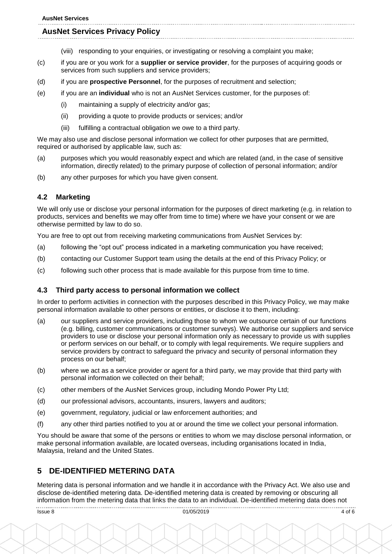#### **AusNet Services Privacy Policy**

- (viii) responding to your enquiries, or investigating or resolving a complaint you make;
- (c) if you are or you work for a **supplier or service provider**, for the purposes of acquiring goods or services from such suppliers and service providers;
- (d) if you are **prospective Personnel**, for the purposes of recruitment and selection;
- (e) if you are an **individual** who is not an AusNet Services customer, for the purposes of:
	- (i) maintaining a supply of electricity and/or gas;
	- (ii) providing a quote to provide products or services; and/or
	- (iii) fulfilling a contractual obligation we owe to a third party.

We may also use and disclose personal information we collect for other purposes that are permitted, required or authorised by applicable law, such as:

- (a) purposes which you would reasonably expect and which are related (and, in the case of sensitive information, directly related) to the primary purpose of collection of personal information; and/or
- (b) any other purposes for which you have given consent.

#### **4.2 Marketing**

We will only use or disclose your personal information for the purposes of direct marketing (e.g. in relation to products, services and benefits we may offer from time to time) where we have your consent or we are otherwise permitted by law to do so.

You are free to opt out from receiving marketing communications from AusNet Services by:

- (a) following the "opt out" process indicated in a marketing communication you have received;
- (b) contacting our Customer Support team using the details at the end of this Privacy Policy; or
- (c) following such other process that is made available for this purpose from time to time.

#### **4.3 Third party access to personal information we collect**

In order to perform activities in connection with the purposes described in this Privacy Policy, we may make personal information available to other persons or entities, or disclose it to them, including:

- (a) our suppliers and service providers, including those to whom we outsource certain of our functions (e.g. billing, customer communications or customer surveys). We authorise our suppliers and service providers to use or disclose your personal information only as necessary to provide us with supplies or perform services on our behalf, or to comply with legal requirements. We require suppliers and service providers by contract to safeguard the privacy and security of personal information they process on our behalf;
- (b) where we act as a service provider or agent for a third party, we may provide that third party with personal information we collected on their behalf;
- (c) other members of the AusNet Services group, including Mondo Power Pty Ltd;
- (d) our professional advisors, accountants, insurers, lawyers and auditors;
- (e) government, regulatory, judicial or law enforcement authorities; and
- (f) any other third parties notified to you at or around the time we collect your personal information.

You should be aware that some of the persons or entities to whom we may disclose personal information, or make personal information available, are located overseas, including organisations located in India, Malaysia, Ireland and the United States.

## **5 DE-IDENTIFIED METERING DATA**

Metering data is personal information and we handle it in accordance with the Privacy Act. We also use and disclose de-identified metering data. De-identified metering data is created by removing or obscuring all information from the metering data that links the data to an individual. De-identified metering data does not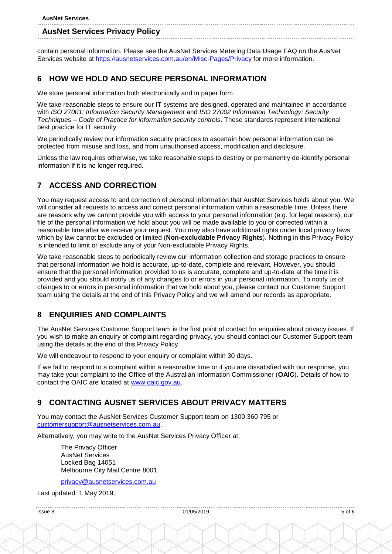contain personal information. Please see the AusNet Services Metering Data Usage FAQ on the AusNet Services website at<https://ausnetservices.com.au/en/Misc-Pages/Privacy> for more information.

# **6 HOW WE HOLD AND SECURE PERSONAL INFORMATION**

We store personal information both electronically and in paper form.

We take reasonable steps to ensure our IT systems are designed, operated and maintained in accordance with *ISO 27001: Information Security Management* and *ISO 27002 Information Technology: Security Techniques – Code of Practice for information security controls*. These standards represent international best practice for IT security.

We periodically review our information security practices to ascertain how personal information can be protected from misuse and loss, and from unauthorised access, modification and disclosure.

Unless the law requires otherwise, we take reasonable steps to destroy or permanently de-identify personal information if it is no longer required.

# **7 ACCESS AND CORRECTION**

You may request access to and correction of personal information that AusNet Services holds about you. We will consider all requests to access and correct personal information within a reasonable time. Unless there are reasons why we cannot provide you with access to your personal information (e.g. for legal reasons), our file of the personal information we hold about you will be made available to you or corrected within a reasonable time after we receive your request. You may also have additional rights under local privacy laws which by law cannot be excluded or limited (**Non-excludable Privacy Rights**). Nothing in this Privacy Policy is intended to limit or exclude any of your Non-excludable Privacy Rights.

We take reasonable steps to periodically review our information collection and storage practices to ensure that personal information we hold is accurate, up-to-date, complete and relevant. However, you should ensure that the personal information provided to us is accurate, complete and up-to-date at the time it is provided and you should notify us of any changes to or errors in your personal information. To notify us of changes to or errors in personal information that we hold about you, please contact our Customer Support team using the details at the end of this Privacy Policy and we will amend our records as appropriate.

# **8 ENQUIRIES AND COMPLAINTS**

The AusNet Services Customer Support team is the first point of contact for enquiries about privacy issues. If you wish to make an enquiry or complaint regarding privacy, you should contact our Customer Support team using the details at the end of this Privacy Policy.

We will endeavour to respond to your enquiry or complaint within 30 days.

If we fail to respond to a complaint within a reasonable time or if you are dissatisfied with our response, you may take your complaint to the Office of the Australian Information Commissioner (**OAIC**). Details of how to contact the OAIC are located at [www.oaic.gov.au.](http://www.oaic.gov.au/)

# **9 CONTACTING AUSNET SERVICES ABOUT PRIVACY MATTERS**

You may contact the AusNet Services Customer Support team on 1300 360 795 or [customersupport@ausnetservices.com.au.](mailto:customersupport@ausnetservices.com.au)

Alternatively, you may write to the AusNet Services Privacy Officer at:

The Privacy Officer AusNet Services Locked Bag 14051 Melbourne City Mail Centre 8001

[privacy@ausnetservices.com.au](mailto:privacy@AusNetServices.com.au)

Last updated: 1 May 2019.